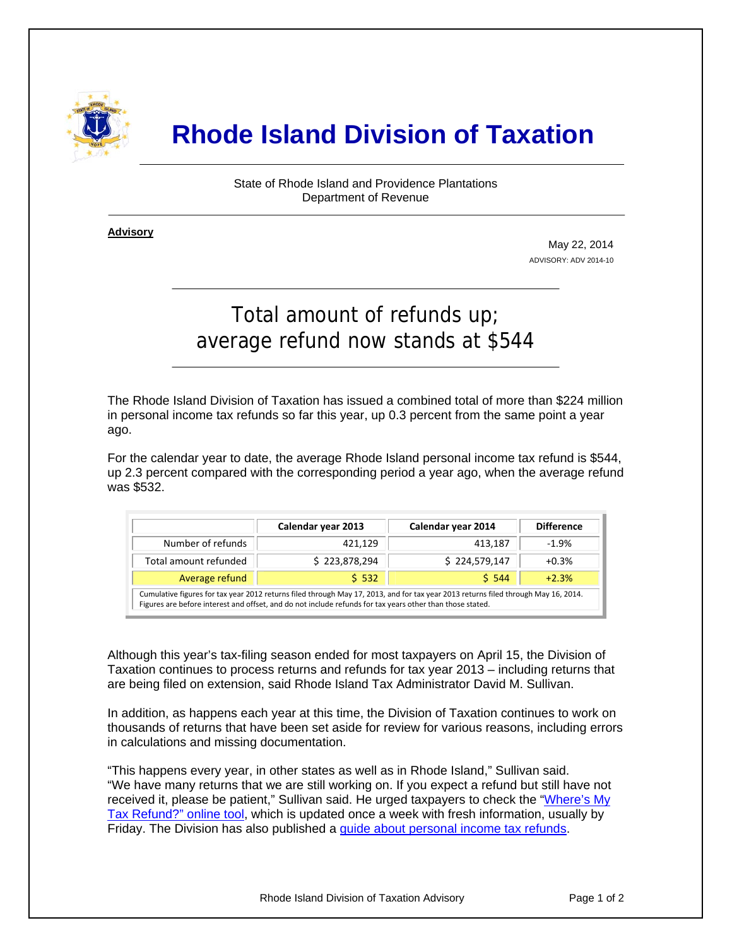

## **Rhode Island Division of Taxation**

State of Rhode Island and Providence Plantations Department of Revenue

**Advisory** ٦

j

May 22, 2014 ADVISORY: ADV 2014-10

## Total amount of refunds up; average refund now stands at \$544

The Rhode Island Division of Taxation has issued a combined total of more than \$224 million in personal income tax refunds so far this year, up 0.3 percent from the same point a year ago.

For the calendar year to date, the average Rhode Island personal income tax refund is \$544, up 2.3 percent compared with the corresponding period a year ago, when the average refund was \$532.

|                                                                                                                                                                                                                                                 | Calendar year 2013 | Calendar year 2014 | <b>Difference</b> |
|-------------------------------------------------------------------------------------------------------------------------------------------------------------------------------------------------------------------------------------------------|--------------------|--------------------|-------------------|
| Number of refunds                                                                                                                                                                                                                               | 421.129            | 413.187            | $-1.9%$           |
| Total amount refunded                                                                                                                                                                                                                           | \$223,878,294      | \$224,579,147      | $+0.3%$           |
| Average refund                                                                                                                                                                                                                                  | 5.532              | 5.544              | $+2.3%$           |
| Cumulative figures for tax year 2012 returns filed through May 17, 2013, and for tax year 2013 returns filed through May 16, 2014.<br>Figures are before interest and offset, and do not include refunds for tax years other than those stated. |                    |                    |                   |

Although this year's tax-filing season ended for most taxpayers on April 15, the Division of Taxation continues to process returns and refunds for tax year 2013 – including returns that are being filed on extension, said Rhode Island Tax Administrator David M. Sullivan.

In addition, as happens each year at this time, the Division of Taxation continues to work on thousands of returns that have been set aside for review for various reasons, including errors in calculations and missing documentation.

"This happens every year, in other states as well as in Rhode Island," Sullivan said. "We have many returns that we are still working on. If you expect a refund but still have not received it, please be patient," Sullivan said. He urged taxpayers to check the ["Where's My](https://www.ri.gov/taxation/refund/)  [Tax Refund?" online tool](https://www.ri.gov/taxation/refund/), which is updated once a week with fresh information, usually by Friday. The Division has also published a [guide about personal income tax refunds](http://www.tax.ri.gov/Tax%20Website/TAX/notice/Guide%20to%20Tax%20Refunds.pdf).